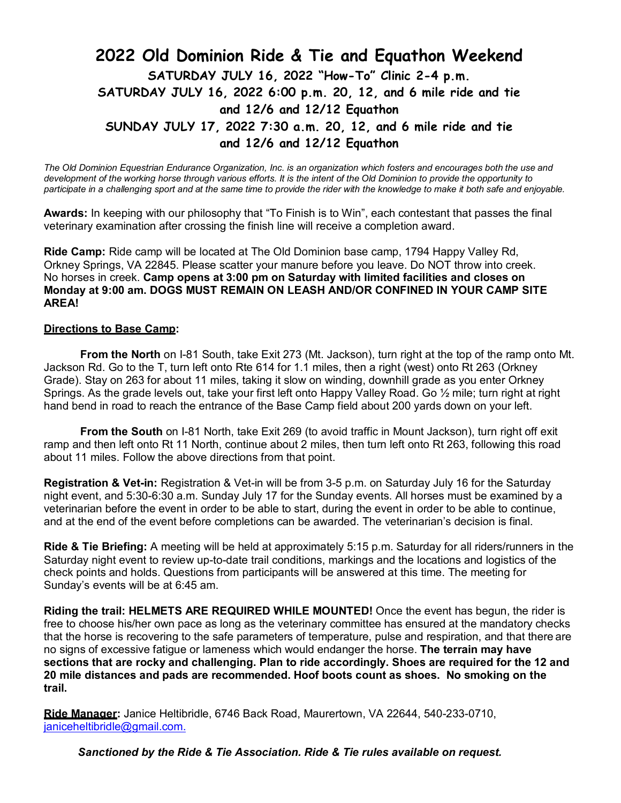## **2022 Old Dominion Ride & Tie and Equathon Weekend SATURDAY JULY 16, 2022 "How-To" Clinic 2-4 p.m. SATURDAY JULY 16, 2022 6:00 p.m. 20, 12, and 6 mile ride and tie and 12/6 and 12/12 Equathon SUNDAY JULY 17, 2022 7:30 a.m. 20, 12, and 6 mile ride and tie and 12/6 and 12/12 Equathon**

*The Old Dominion Equestrian Endurance Organization, Inc. is an organization which fosters and encourages both the use and development of the working horse through various efforts. It is the intent of the Old Dominion to provide the opportunity to participate in a challenging sport and at the same time to provide the rider with the knowledge to make it both safe and enjoyable.*

**Awards:** In keeping with our philosophy that "To Finish is to Win", each contestant that passes the final veterinary examination after crossing the finish line will receive a completion award.

**Ride Camp:** Ride camp will be located at The Old Dominion base camp, 1794 Happy Valley Rd, Orkney Springs, VA 22845. Please scatter your manure before you leave. Do NOT throw into creek. No horses in creek. **Camp opens at 3:00 pm on Saturday with limited facilities and closes on Monday at 9:00 am. DOGS MUST REMAIN ON LEASH AND/OR CONFINED IN YOUR CAMP SITE AREA!**

### **Directions to Base Camp:**

**From the North** on I-81 South, take Exit 273 (Mt. Jackson), turn right at the top of the ramp onto Mt. Jackson Rd. Go to the T, turn left onto Rte 614 for 1.1 miles, then a right (west) onto Rt 263 (Orkney Grade). Stay on 263 for about 11 miles, taking it slow on winding, downhill grade as you enter Orkney Springs. As the grade levels out, take your first left onto Happy Valley Road. Go 1/2 mile; turn right at right hand bend in road to reach the entrance of the Base Camp field about 200 yards down on your left.

**From the South** on I-81 North, take Exit 269 (to avoid traffic in Mount Jackson), turn right off exit ramp and then left onto Rt 11 North, continue about 2 miles, then turn left onto Rt 263, following this road about 11 miles. Follow the above directions from that point.

**Registration & Vet-in:** Registration & Vet-in will be from 3-5 p.m. on Saturday July 16 for the Saturday night event, and 5:30-6:30 a.m. Sunday July 17 for the Sunday events. All horses must be examined by a veterinarian before the event in order to be able to start, during the event in order to be able to continue, and at the end of the event before completions can be awarded. The veterinarian's decision is final.

**Ride & Tie Briefing:** A meeting will be held at approximately 5:15 p.m. Saturday for all riders/runners in the Saturday night event to review up-to-date trail conditions, markings and the locations and logistics of the check points and holds. Questions from participants will be answered at this time. The meeting for Sunday's events will be at 6:45 am.

**Riding the trail: HELMETS ARE REQUIRED WHILE MOUNTED!** Once the event has begun, the rider is free to choose his/her own pace as long as the veterinary committee has ensured at the mandatory checks that the horse is recovering to the safe parameters of temperature, pulse and respiration, and that there are no signs of excessive fatigue or lameness which would endanger the horse. **The terrain may have sections that are rocky and challenging. Plan to ride accordingly. Shoes are required for the 12 and 20 mile distances and pads are recommended. Hoof boots count as shoes. No smoking on the trail.**

**Ride Manager:** Janice Heltibridle, 6746 Back Road, Maurertown, VA 22644, 540-233-0710, [janiceheltibridle@gmail.com.](mailto:janiceheltibridle@gmail.com.)

*Sanctioned by the Ride & Tie Association. Ride & Tie rules available on request.*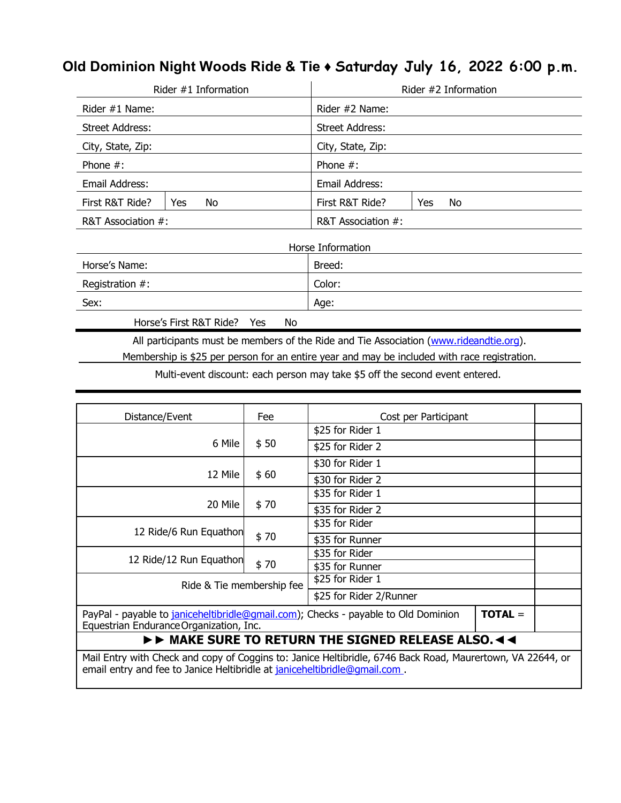## **Old Dominion Night Woods Ride & Tie ♦ Saturday July 16, 2022 6:00 p.m.**

|                        | Rider $#1$ Information |                        | Rider #2 Information |
|------------------------|------------------------|------------------------|----------------------|
| Rider #1 Name:         |                        | Rider #2 Name:         |                      |
| <b>Street Address:</b> |                        | <b>Street Address:</b> |                      |
| City, State, Zip:      |                        | City, State, Zip:      |                      |
| Phone $#$ :            |                        | Phone $#$ :            |                      |
| Email Address:         |                        | Email Address:         |                      |
| First R&T Ride?        | No<br>Yes              | First R&T Ride?        | No.<br>Yes           |
| R&T Association #:     |                        | R&T Association #:     |                      |
|                        |                        | Horse Information      |                      |
| Horse's Name:          |                        | Breed:                 |                      |
| Registration $#$ :     |                        | Color:                 |                      |
| Sex:                   |                        | Age:                   |                      |

Horse's First R&T Ride? Yes No

All participants must be members of the Ride and Tie Association (www.rideandtie.org).

Membership is \$25 per person for an entire year and may be included with race registration.

Multi-event discount: each person may take \$5 off the second event entered.

| Distance/Event                                                                                                                                                                          | Fee  | Cost per Participant |           |  |
|-----------------------------------------------------------------------------------------------------------------------------------------------------------------------------------------|------|----------------------|-----------|--|
|                                                                                                                                                                                         | \$50 | \$25 for Rider 1     |           |  |
| 6 Mile                                                                                                                                                                                  |      | \$25 for Rider 2     |           |  |
|                                                                                                                                                                                         | \$60 | \$30 for Rider 1     |           |  |
| 12 Mile                                                                                                                                                                                 |      | \$30 for Rider 2     |           |  |
|                                                                                                                                                                                         |      | \$35 for Rider 1     |           |  |
| 20 Mile                                                                                                                                                                                 | \$70 | \$35 for Rider 2     |           |  |
| 12 Ride/6 Run Equathon                                                                                                                                                                  | \$70 | \$35 for Rider       |           |  |
|                                                                                                                                                                                         |      | \$35 for Runner      |           |  |
| 12 Ride/12 Run Equathon                                                                                                                                                                 | \$70 | \$35 for Rider       |           |  |
|                                                                                                                                                                                         |      | \$35 for Runner      |           |  |
| \$25 for Rider 1<br>Ride & Tie membership fee                                                                                                                                           |      |                      |           |  |
| \$25 for Rider 2/Runner                                                                                                                                                                 |      |                      |           |  |
| PayPal - payable to janiceheltibridle@gmail.com); Checks - payable to Old Dominion<br>Equestrian Endurance Organization, Inc.                                                           |      |                      | $TOTAL =$ |  |
| IFF MAKE SURE TO RETURN THE SIGNED RELEASE ALSO.                                                                                                                                        |      |                      |           |  |
| Mail Entry with Check and copy of Coggins to: Janice Heltibridle, 6746 Back Road, Maurertown, VA 22644, or<br>email entry and fee to Janice Heltibridle at janiceheltibridle@qmail.com. |      |                      |           |  |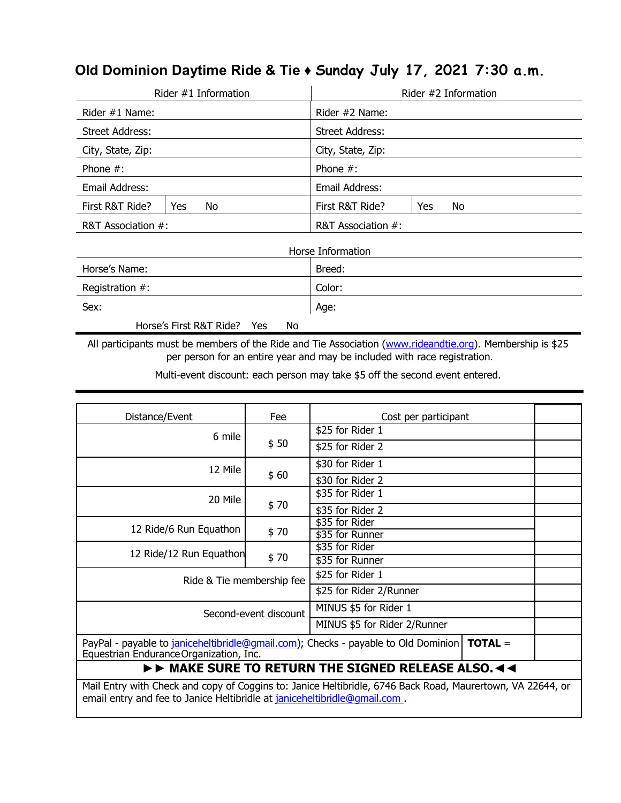# **Old Dominion Daytime Ride & Tie ♦ Sunday July 17, 2021 7:30 a.m.**

|                    | Rider #1 Information    |           |                        |     | Rider #2 Information |
|--------------------|-------------------------|-----------|------------------------|-----|----------------------|
| Rider #1 Name:     |                         |           | Rider #2 Name:         |     |                      |
| Street Address:    |                         |           | <b>Street Address:</b> |     |                      |
| City, State, Zip:  |                         |           | City, State, Zip:      |     |                      |
| Phone $#$ :        |                         |           | Phone $#$ :            |     |                      |
| Email Address:     |                         |           | Email Address:         |     |                      |
| First R&T Ride?    | No<br>Yes               |           | First R&T Ride?        | Yes | No                   |
| R&T Association #: |                         |           | R&T Association #:     |     |                      |
|                    |                         |           | Horse Information      |     |                      |
| Horse's Name:      |                         |           | Breed:                 |     |                      |
| Registration $#$ : |                         |           | Color:                 |     |                      |
| Sex:               |                         |           | Age:                   |     |                      |
|                    | Horse's First R&T Ride? | Yes<br>No |                        |     |                      |

All participants must be members of the Ride and Tie Association (www.rideandtie.org). Membership is \$25 per person for an entire year and may be included with race registration.

Multi-event discount: each person may take \$5 off the second event entered.

| Distance/Event                                                                                                                                                                          | Fee  | Cost per participant                                                                         |  |
|-----------------------------------------------------------------------------------------------------------------------------------------------------------------------------------------|------|----------------------------------------------------------------------------------------------|--|
| 6 mile                                                                                                                                                                                  | \$50 | \$25 for Rider 1                                                                             |  |
|                                                                                                                                                                                         |      | \$25 for Rider 2                                                                             |  |
| 12 Mile                                                                                                                                                                                 |      | \$30 for Rider 1                                                                             |  |
|                                                                                                                                                                                         | \$60 | \$30 for Rider 2                                                                             |  |
| 20 Mile                                                                                                                                                                                 | \$70 | \$35 for Rider 1                                                                             |  |
|                                                                                                                                                                                         |      | \$35 for Rider 2                                                                             |  |
|                                                                                                                                                                                         | \$70 | \$35 for Rider                                                                               |  |
| 12 Ride/6 Run Equathon                                                                                                                                                                  |      | \$35 for Runner                                                                              |  |
|                                                                                                                                                                                         |      | \$35 for Rider                                                                               |  |
| 12 Ride/12 Run Equathon                                                                                                                                                                 | \$70 | \$35 for Runner                                                                              |  |
| Ride & Tie membership fee                                                                                                                                                               |      | \$25 for Rider 1                                                                             |  |
|                                                                                                                                                                                         |      | \$25 for Rider 2/Runner                                                                      |  |
| MINUS \$5 for Rider 1<br>Second-event discount                                                                                                                                          |      |                                                                                              |  |
|                                                                                                                                                                                         |      | MINUS \$5 for Rider 2/Runner                                                                 |  |
| Equestrian Endurance Organization, Inc.                                                                                                                                                 |      | PayPal - payable to janiceheltibridle@gmail.com); Checks - payable to Old Dominion   TOTAL = |  |
|                                                                                                                                                                                         |      | $\triangleright\triangleright$ MAKE SURE TO RETURN THE SIGNED RELEASE ALSO. < <              |  |
| Mail Entry with Check and copy of Coggins to: Janice Heltibridle, 6746 Back Road, Maurertown, VA 22644, or<br>email entry and fee to Janice Heltibridle at janiceheltibridle@qmail.com. |      |                                                                                              |  |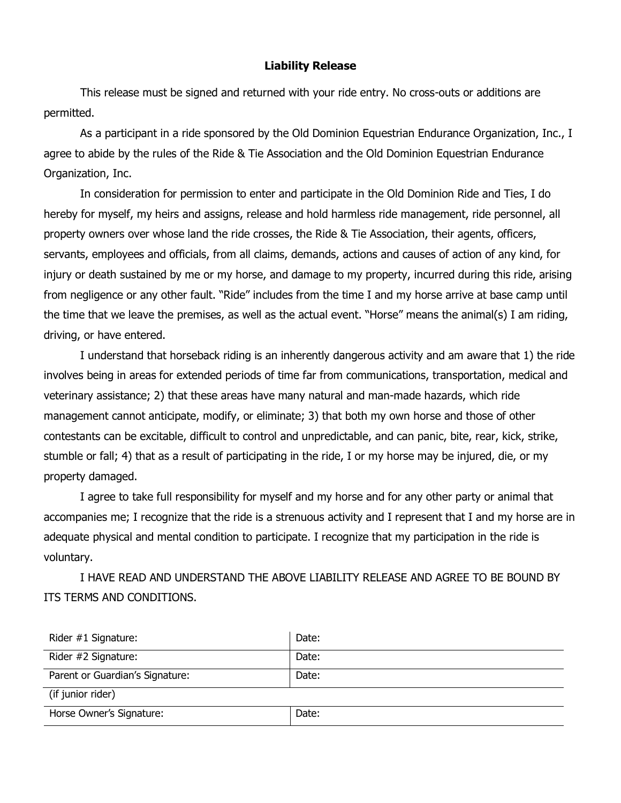#### **Liability Release**

This release must be signed and returned with your ride entry. No cross-outs or additions are permitted.

As a participant in a ride sponsored by the Old Dominion Equestrian Endurance Organization, Inc., I agree to abide by the rules of the Ride & Tie Association and the Old Dominion Equestrian Endurance Organization, Inc.

In consideration for permission to enter and participate in the Old Dominion Ride and Ties, I do hereby for myself, my heirs and assigns, release and hold harmless ride management, ride personnel, all property owners over whose land the ride crosses, the Ride & Tie Association, their agents, officers, servants, employees and officials, from all claims, demands, actions and causes of action of any kind, for injury or death sustained by me or my horse, and damage to my property, incurred during this ride, arising from negligence or any other fault. "Ride" includes from the time I and my horse arrive at base camp until the time that we leave the premises, as well as the actual event. "Horse" means the animal(s) I am riding, driving, or have entered.

I understand that horseback riding is an inherently dangerous activity and am aware that 1) the ride involves being in areas for extended periods of time far from communications, transportation, medical and veterinary assistance; 2) that these areas have many natural and man-made hazards, which ride management cannot anticipate, modify, or eliminate; 3) that both my own horse and those of other contestants can be excitable, difficult to control and unpredictable, and can panic, bite, rear, kick, strike, stumble or fall; 4) that as a result of participating in the ride, I or my horse may be injured, die, or my property damaged.

I agree to take full responsibility for myself and my horse and for any other party or animal that accompanies me; I recognize that the ride is a strenuous activity and I represent that I and my horse are in adequate physical and mental condition to participate. I recognize that my participation in the ride is voluntary.

I HAVE READ AND UNDERSTAND THE ABOVE LIABILITY RELEASE AND AGREE TO BE BOUND BY ITS TERMS AND CONDITIONS.

| Rider #1 Signature:             | Date: |
|---------------------------------|-------|
| Rider #2 Signature:             | Date: |
| Parent or Guardian's Signature: | Date: |
| (if junior rider)               |       |
| Horse Owner's Signature:        | Date: |